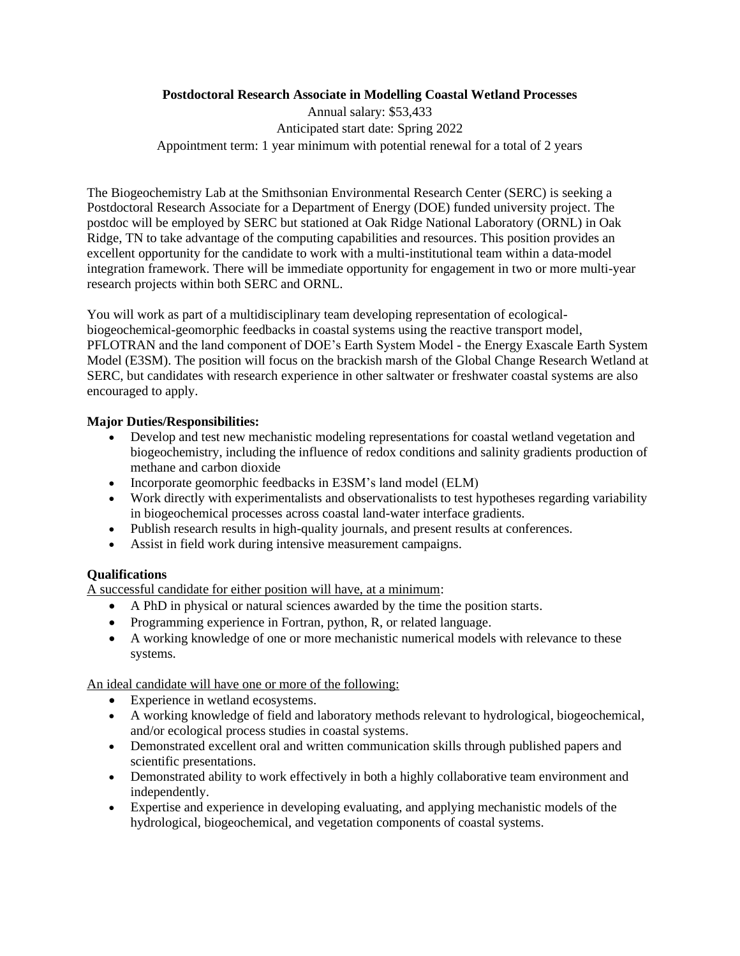## **Postdoctoral Research Associate in Modelling Coastal Wetland Processes**

Annual salary: \$53,433 Anticipated start date: Spring 2022 Appointment term: 1 year minimum with potential renewal for a total of 2 years

The Biogeochemistry Lab at the Smithsonian Environmental Research Center (SERC) is seeking a Postdoctoral Research Associate for a Department of Energy (DOE) funded university project. The postdoc will be employed by SERC but stationed at Oak Ridge National Laboratory (ORNL) in Oak Ridge, TN to take advantage of the computing capabilities and resources. This position provides an excellent opportunity for the candidate to work with a multi-institutional team within a data-model integration framework. There will be immediate opportunity for engagement in two or more multi-year research projects within both SERC and ORNL.

You will work as part of a multidisciplinary team developing representation of ecologicalbiogeochemical-geomorphic feedbacks in coastal systems using the reactive transport model, PFLOTRAN and the land component of DOE's Earth System Model - the Energy Exascale Earth System Model (E3SM). The position will focus on the brackish marsh of the Global Change Research Wetland at SERC, but candidates with research experience in other saltwater or freshwater coastal systems are also encouraged to apply.

# **Major Duties/Responsibilities:**

- Develop and test new mechanistic modeling representations for coastal wetland vegetation and biogeochemistry, including the influence of redox conditions and salinity gradients production of methane and carbon dioxide
- Incorporate geomorphic feedbacks in E3SM's land model (ELM)
- Work directly with experimentalists and observationalists to test hypotheses regarding variability in biogeochemical processes across coastal land-water interface gradients.
- Publish research results in high-quality journals, and present results at conferences.
- Assist in field work during intensive measurement campaigns.

# **Qualifications**

A successful candidate for either position will have, at a minimum:

- A PhD in physical or natural sciences awarded by the time the position starts.
- Programming experience in Fortran, python, R, or related language.
- A working knowledge of one or more mechanistic numerical models with relevance to these systems.

### An ideal candidate will have one or more of the following:

- Experience in wetland ecosystems.
- A working knowledge of field and laboratory methods relevant to hydrological, biogeochemical, and/or ecological process studies in coastal systems.
- Demonstrated excellent oral and written communication skills through published papers and scientific presentations.
- Demonstrated ability to work effectively in both a highly collaborative team environment and independently.
- Expertise and experience in developing evaluating, and applying mechanistic models of the hydrological, biogeochemical, and vegetation components of coastal systems.